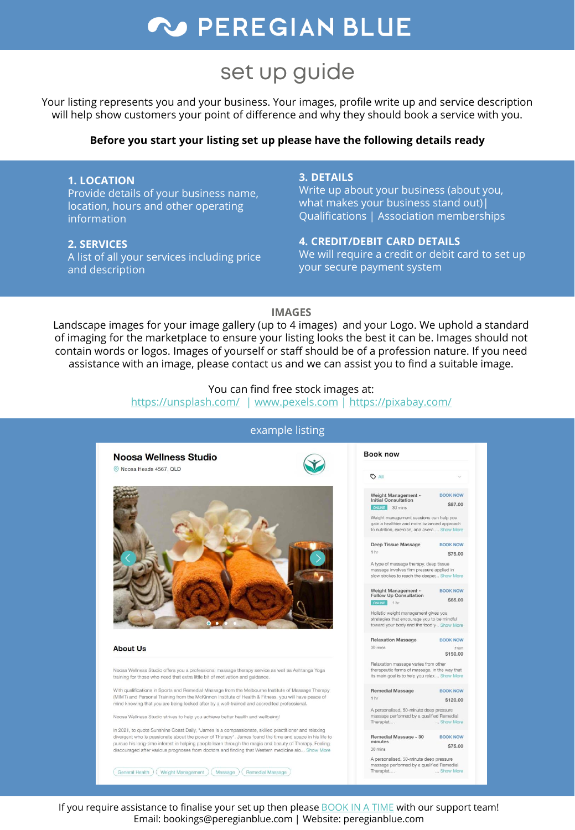## **W PEREGIAN BLUE**

## set up guide

Your listing represents you and your business. Your images, profile write up and service description will help show customers your point of difference and why they should book a service with you.

#### **Before you start your listing set up please have the following details ready**

#### **1. LOCATION** Provide details of your business name, location, hours and other operating information

#### **2. SERVICES**

A list of all your services including price and description

#### **3. DETAILS**

Write up about your business (about you, what makes your business stand out)| Qualifications | Association memberships

#### **4. CREDIT/DEBIT CARD DETAILS**

We will require a credit or debit card to set up your secure payment system

\$87.00

#### **IMAGES**

Landscape images for your image gallery (up to 4 images) and your Logo. We uphold a standard of imaging for the marketplace to ensure your listing looks the best it can be. Images should not contain words or logos. Images of yourself or staff should be of a profession nature. If you need assistance with an image, please contact us and we can assist you to find a suitable image.

You can find free stock images at:

<https://unsplash.com/> | [www.pexels.com](http://www.pexels.com/) |<https://pixabay.com/>



#### example listing

If you require assistance to finalise your set up then please [BOOK IN A TIME](https://book.nabooki.com/peregianblue) with our support team! Email: bookings@peregianblue.com | Website: peregianblue.com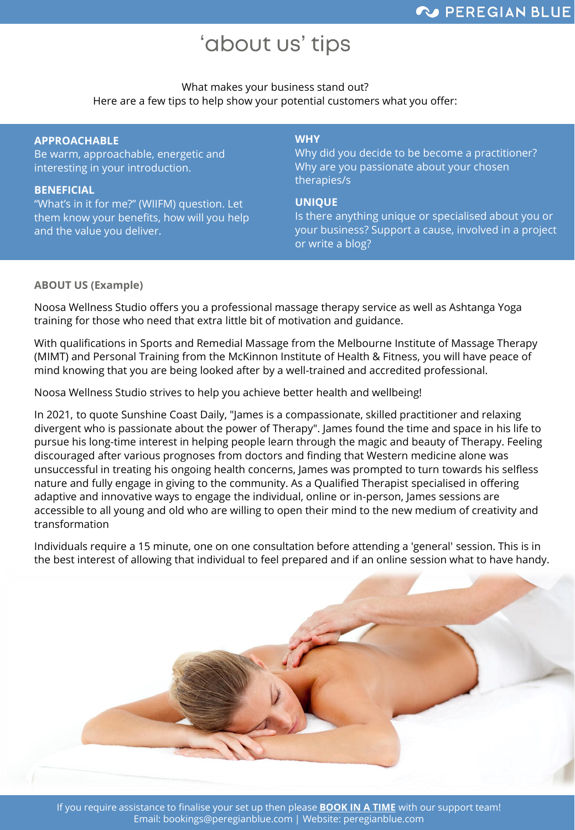## 'about us' tips

#### What makes your business stand out? Here are a few tips to help show your potential customers what you offer:

#### **APPROACHABLE**

Be warm, approachable, energetic and interesting in your introduction.

#### **BENEFICIAL**

"What's in it for me?" (WIIFM) question. Let them know your benefits, how will you help and the value you deliver.

#### **WHY**

Why did you decide to be become a practitioner? Why are you passionate about your chosen therapies/s

#### **UNIQUE**

Is there anything unique or specialised about you or your business? Support a cause, involved in a project or write a blog?

#### **ABOUT US (Example)**

Noosa Wellness Studio offers you a professional massage therapy service as well as Ashtanga Yoga training for those who need that extra little bit of motivation and guidance.

With qualifications in Sports and Remedial Massage from the Melbourne Institute of Massage Therapy (MIMT) and Personal Training from the McKinnon Institute of Health & Fitness, you will have peace of mind knowing that you are being looked after by a well-trained and accredited professional.

Noosa Wellness Studio strives to help you achieve better health and wellbeing!

In 2021, to quote Sunshine Coast Daily, "James is a compassionate, skilled practitioner and relaxing divergent who is passionate about the power of Therapy". James found the time and space in his life to pursue his long-time interest in helping people learn through the magic and beauty of Therapy. Feeling discouraged after various prognoses from doctors and finding that Western medicine alone was unsuccessful in treating his ongoing health concerns, James was prompted to turn towards his selfless nature and fully engage in giving to the community. As a Qualified Therapist specialised in offering adaptive and innovative ways to engage the individual, online or in-person, James sessions are accessible to all young and old who are willing to open their mind to the new medium of creativity and transformation

Individuals require a 15 minute, one on one consultation before attending a 'general' session. This is in the best interest of allowing that individual to feel prepared and if an online session what to have handy.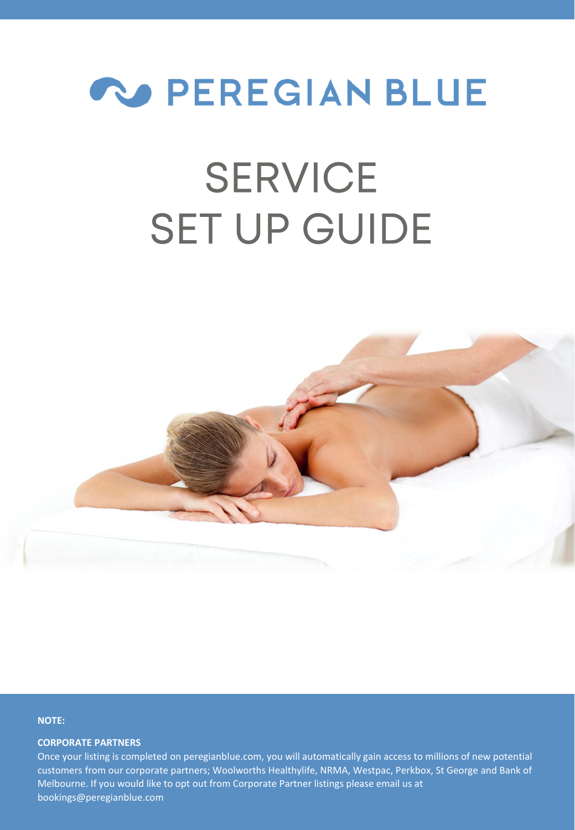

# **SERVICE SET UP GUIDE**



#### **NOTE:**

#### **CORPORATE PARTNERS**

Once your listing is completed on peregianblue.com, you will automatically gain access to millions of new potential customers from our corporate partners; Woolworths Healthylife, NRMA, Westpac, Perkbox, St George and Bank of Melbourne. If you would like to opt out from Corporate Partner listings please email us at bookings@peregianblue.com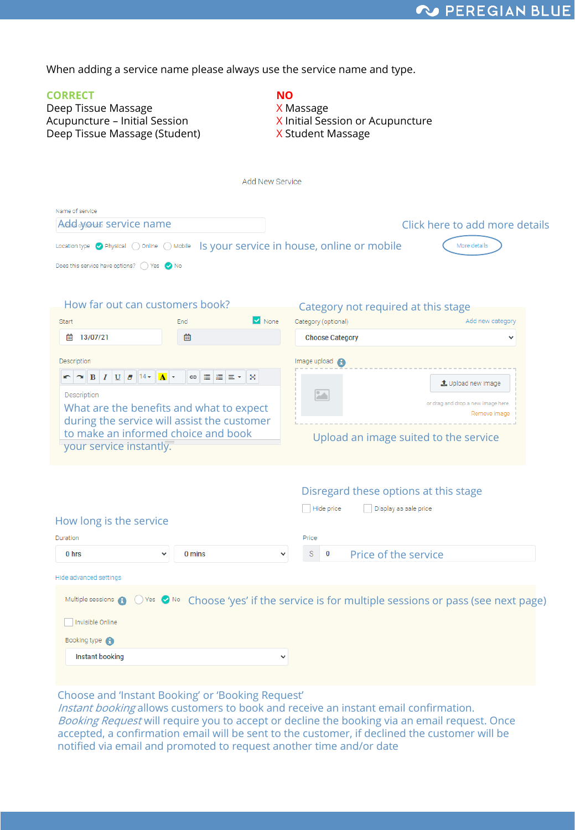When adding a service name please always use the service name and type.

| <b>CORRECT</b><br>Deep Tissue Massage<br>Acupuncture - Initial Session<br>Deep Tissue Massage (Student)                                                                                                                                                                | NΟ<br>X Massage<br>X Initial Session or Acupuncture<br>X Student Massage                                                                                                        |
|------------------------------------------------------------------------------------------------------------------------------------------------------------------------------------------------------------------------------------------------------------------------|---------------------------------------------------------------------------------------------------------------------------------------------------------------------------------|
|                                                                                                                                                                                                                                                                        | <b>Add New Service</b>                                                                                                                                                          |
| Name of service<br>Add your service name<br>Location type Physical O Online O Mobile Is your service in house, online or mobile<br>Does this service have options? ( ) Yes <a></a>                                                                                     | Click here to add more details<br>More details                                                                                                                                  |
| How far out can customers book?<br>Start<br>End                                                                                                                                                                                                                        | Category not required at this stage<br>None<br>Category (optional)<br>Add new category                                                                                          |
| 13/07/21<br>茴<br>画                                                                                                                                                                                                                                                     | <b>Choose Category</b>                                                                                                                                                          |
| Description<br>$\sim$ B $I$ U $\sigma$ 14 $\sim$<br>$\mathbf{A}$ $\mathbf{v}$<br>⊕ 田 温 三 ▼<br>Description<br>What are the benefits and what to expect<br>during the service will assist the customer<br>to make an informed choice and book<br>your service instantly. | Image upload <b>A</b><br>×<br>1 Upload new image<br>$\left  \frac{1}{2} \right $<br>or drag and drop a new image here.<br>Remove image<br>Upload an image suited to the service |
| How long is the service<br>Duration<br>0 hrs<br>0 mins                                                                                                                                                                                                                 | Disregard these options at this stage<br>Hide price<br>Display as sale price<br>Price<br>Price of the service<br>S<br>0                                                         |
| Hide advanced settings<br>Multiple sessions (9)<br>Invisible Online<br>Booking type <b>A</b><br><b>Instant booking</b>                                                                                                                                                 | O Yes O No Choose 'yes' if the service is for multiple sessions or pass (see next page)<br>$\checkmark$                                                                         |
|                                                                                                                                                                                                                                                                        |                                                                                                                                                                                 |

Choose and 'Instant Booking' or 'Booking Request'

Instant booking allows customers to book and receive an instant email confirmation. *Booking Request* will require you to accept or decline the booking via an email request. Once accepted, a confirmation email will be sent to the customer, if declined the customer will be notified via email and promoted to request another time and/or date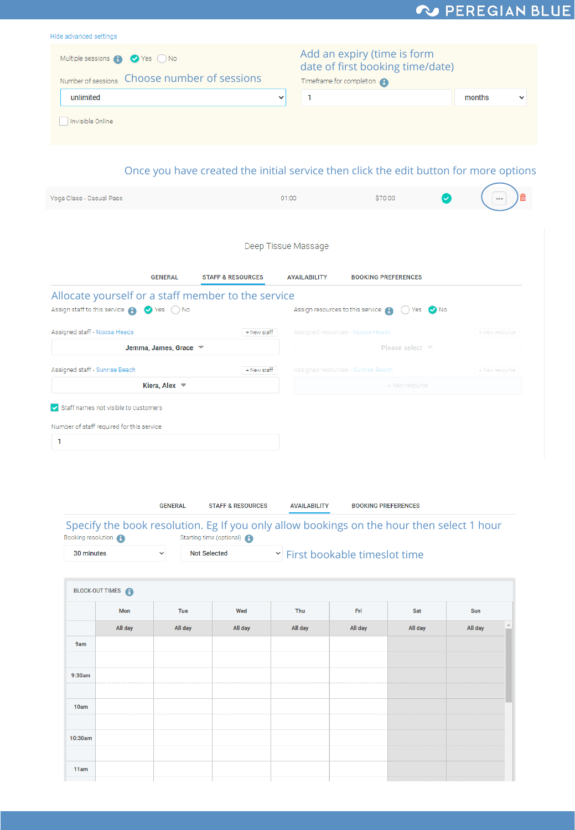## V PEREGIAN BLUE

ī.

| Hide advanced settings                                                                                          |                              |                                                                                                               |                |
|-----------------------------------------------------------------------------------------------------------------|------------------------------|---------------------------------------------------------------------------------------------------------------|----------------|
| Multiple sessions <b>A</b> Yes No                                                                               |                              | Add an expiry (time is form<br>date of first booking time/date)                                               |                |
| Number of sessions  Choose number of sessions                                                                   |                              | Timeframe for completion                                                                                      |                |
| unlimited                                                                                                       | $\checkmark$                 | 1                                                                                                             | months         |
| Invisible Online                                                                                                |                              |                                                                                                               |                |
|                                                                                                                 |                              | Once you have created the initial service then click the edit button for more options                         |                |
| Yoga Class - Casual Pass                                                                                        | 01:00                        | \$70.00                                                                                                       |                |
| <b>GENERAL</b><br>Allocate yourself or a staff member to the service<br>Assign staff to this service @ Ves O No | <b>STAFF &amp; RESOURCES</b> | <b>AVAILABILITY</b><br><b>BOOKING PREFERENCES</b><br>Assign resources to this service A<br>$() Yes$ $\vee$ No |                |
| Assigned staff - Noosa Heads                                                                                    | + New staff                  | Assigned resources - Noosa Heads                                                                              | + New resource |
| Jemma, James, Grace ▼                                                                                           |                              | Please select ▼                                                                                               |                |
| Assigned staff - Sunrise Beach                                                                                  | + New staff                  | Assigned resources - Sunrise Beach                                                                            | + New resource |
| Kiera, Alex $\blacktriangledown$                                                                                |                              | + New resource                                                                                                |                |
|                                                                                                                 |                              |                                                                                                               |                |
| Staff names not visible to customers                                                                            |                              |                                                                                                               |                |
| Number of staff required for this service                                                                       |                              |                                                                                                               |                |
| 1                                                                                                               |                              |                                                                                                               |                |

|                    | <b>GENERAL</b> | <b>STAFF &amp; RESOURCES</b> | <b>AVAILABILITY</b> | <b>BOOKING PREFERENCES</b>                                                                |
|--------------------|----------------|------------------------------|---------------------|-------------------------------------------------------------------------------------------|
| Booking resolution |                | Starting time (optional)     |                     | Specify the book resolution. Eg If you only allow bookings on the hour then select 1 hour |
| 30 minutes         | $\checkmark$   | <b>Not Selected</b>          |                     | If First bookable times of time                                                           |

|         | BLOCK-OUT TIMES <b>C</b> |         |         |         |         |         |                                       |
|---------|--------------------------|---------|---------|---------|---------|---------|---------------------------------------|
|         | Mon                      | Tue     | Wed     | Thu     | Fri     | Sat     | Sun                                   |
|         | All day                  | All day | All day | All day | All day | All day | $\blacktriangle$<br>All day<br>$\sim$ |
| 9am     |                          |         |         |         |         |         |                                       |
|         |                          |         |         |         |         |         |                                       |
| 9:30am  |                          |         |         |         |         | .       |                                       |
|         |                          |         |         |         |         |         |                                       |
| 10am    |                          |         |         |         |         |         |                                       |
|         |                          |         |         |         |         |         |                                       |
| 10:30am |                          |         |         |         |         |         |                                       |
|         |                          |         |         |         |         |         |                                       |
| 11am    |                          |         |         |         |         |         |                                       |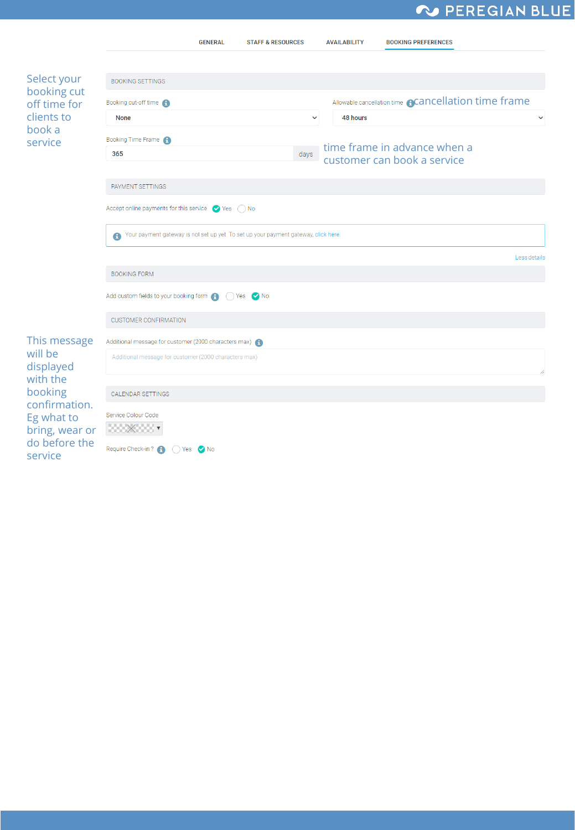### V PEREGIAN BLUE

|                                 | <b>GENERAL</b>                                                                                   | <b>STAFF &amp; RESOURCES</b> | <b>AVAILABILITY</b> | <b>BOOKING PREFERENCES</b>                                  |              |
|---------------------------------|--------------------------------------------------------------------------------------------------|------------------------------|---------------------|-------------------------------------------------------------|--------------|
|                                 |                                                                                                  |                              |                     |                                                             |              |
| Select your                     | <b>BOOKING SETTINGS</b>                                                                          |                              |                     |                                                             |              |
| booking cut<br>off time for     | Booking cut-off time                                                                             |                              |                     | Allowable cancellation time <b>@Cancellation time frame</b> |              |
| clients to                      | <b>None</b>                                                                                      | $\checkmark$                 | 48 hours            |                                                             | $\checkmark$ |
| book a<br>service               | Booking Time Frame                                                                               |                              |                     |                                                             |              |
|                                 | 365                                                                                              | days                         |                     | time frame in advance when a<br>customer can book a service |              |
|                                 | PAYMENT SETTINGS                                                                                 |                              |                     |                                                             |              |
|                                 | Accept online payments for this service $\bigcirc$ Yes $\bigcirc$ No                             |                              |                     |                                                             |              |
|                                 | Your payment gateway is not set up yet. To set up your payment gateway, click here.<br>$\bullet$ |                              |                     |                                                             |              |
|                                 |                                                                                                  |                              |                     |                                                             | Less details |
|                                 | <b>BOOKING FORM</b>                                                                              |                              |                     |                                                             |              |
|                                 | Add custom fields to your booking form $\bigcap_{n=1}^{\infty}$ (c) Yes $\bigcirc$ No            |                              |                     |                                                             |              |
|                                 | <b>CUSTOMER CONFIRMATION</b>                                                                     |                              |                     |                                                             |              |
| This message                    | Additional message for customer (2000 characters max) A                                          |                              |                     |                                                             |              |
| will be<br>displayed            | Additional message for customer (2000 characters max)                                            |                              |                     |                                                             |              |
| with the<br>booking             | <b>CALENDAR SETTINGS</b>                                                                         |                              |                     |                                                             |              |
| confirmation.<br>Eg what to     | Service Colour Code                                                                              |                              |                     |                                                             |              |
| bring, wear or<br>do before the | $200 \times 200$                                                                                 |                              |                     |                                                             |              |
| service                         | Require Check-in?<br>$() Yes$ $' No$                                                             |                              |                     |                                                             |              |